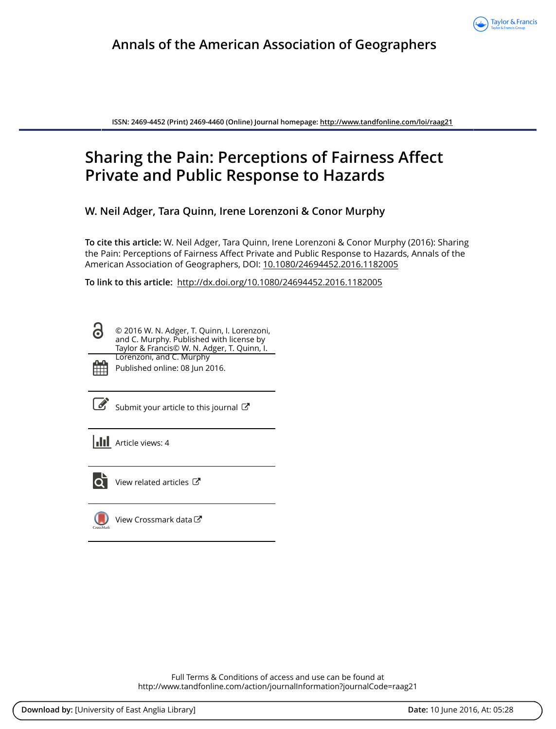

## **Annals of the American Association of Geographers**

**ISSN: 2469-4452 (Print) 2469-4460 (Online) Journal homepage:<http://www.tandfonline.com/loi/raag21>**

## **Sharing the Pain: Perceptions of Fairness Affect Private and Public Response to Hazards**

**W. Neil Adger, Tara Quinn, Irene Lorenzoni & Conor Murphy**

**To cite this article:** W. Neil Adger, Tara Quinn, Irene Lorenzoni & Conor Murphy (2016): Sharing the Pain: Perceptions of Fairness Affect Private and Public Response to Hazards, Annals of the American Association of Geographers, DOI: [10.1080/24694452.2016.1182005](http://www.tandfonline.com/action/showCitFormats?doi=10.1080/24694452.2016.1182005)

**To link to this article:** <http://dx.doi.org/10.1080/24694452.2016.1182005>

© 2016 W. N. Adger, T. Quinn, I. Lorenzoni, and C. Murphy. Published with license by Taylor & Francis© W. N. Adger, T. Quinn, I. Lorenzoni, and C. Murphy



ര

Published online: 08 Jun 2016.

[Submit your article to this journal](http://www.tandfonline.com/action/authorSubmission?journalCode=raag21&page=instructions)  $\mathbb{Z}$ 

**III** Article views: 4



[View related articles](http://www.tandfonline.com/doi/mlt/10.1080/24694452.2016.1182005) C

[View Crossmark data](http://crossmark.crossref.org/dialog/?doi=10.1080/24694452.2016.1182005&domain=pdf&date_stamp=2016-06-08)

Full Terms & Conditions of access and use can be found at <http://www.tandfonline.com/action/journalInformation?journalCode=raag21>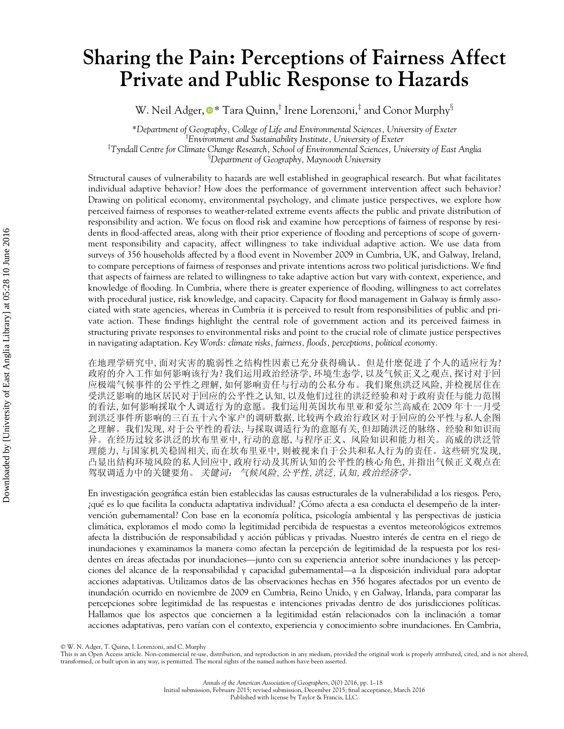# Sharing the Pain: Perceptions of Fairness Affect Private and Public Response to Hazards

W. Neil Adger,  $\mathbf{D}^*$  Tara Quinn,<sup>†</sup> Irene Lorenzoni,<sup>‡</sup> and Conor Murphy<sup>§</sup>

\*Department of Geography, College of Life and Environmental Sciences, University of Exeter <sup>T</sup>Environment and Sustainability Institute, University of Exeter  $^{\rm \tiny T}$ Tyndall Centre for Climate Change Research, School of Environmental Sciences, University of East Anglia  $^{\circ}$ Department of Geography, Maynooth University

Structural causes of vulnerability to hazards are well established in geographical research. But what facilitates individual adaptive behavior? How does the performance of government intervention affect such behavior? Drawing on political economy, environmental psychology, and climate justice perspectives, we explore how perceived fairness of responses to weather-related extreme events affects the public and private distribution of responsibility and action. We focus on flood risk and examine how perceptions of fairness of response by residents in flood-affected areas, along with their prior experience of flooding and perceptions of scope of government responsibility and capacity, affect willingness to take individual adaptive action. We use data from surveys of 356 households affected by a flood event in November 2009 in Cumbria, UK, and Galway, Ireland, to compare perceptions of fairness of responses and private intentions across two political jurisdictions. We find that aspects of fairness are related to willingness to take adaptive action but vary with context, experience, and knowledge of flooding. In Cumbria, where there is greater experience of flooding, willingness to act correlates with procedural justice, risk knowledge, and capacity. Capacity for flood management in Galway is firmly associated with state agencies, whereas in Cumbria it is perceived to result from responsibilities of public and private action. These findings highlight the central role of government action and its perceived fairness in structuring private responses to environmental risks and point to the crucial role of climate justice perspectives in navigating adaptation. Key Words: climate risks, fairness, floods, perceptions, political economy.

在地理学研究中, 面对灾害的脆弱性之结构性因素已充分获得确认。但是什麽促进了个人的适应行为? 政府的介入工作如何影响该行为? 我们运用政治经济学, 环境生态学, 以及气候正义之观点, 探讨对于回 应极端气候事件的公平性之理解, 如何影响责任与行动的公私分布。我们聚焦洪泛风险, 并检视居住在 受洪泛影响的地区居民对于回应的公平性之认知, 以及他们过往的洪泛经验和对于政府责任与能力范围 的看法, 如何影响採取个人调适行为的意愿。我们运用英国坎布里亚和爱尔兰高威在 2009 年十一月受 到洪泛事件所影响的三百五十六个家户的调研数据, 比较两个政治行政区对于回应的公平性与私人企图 之理解。我们发现, 对于公平性的看法, 与採取调适行为的意愿有关, 但却随洪泛的脉络、经验和知识而 异。在经历过较多洪泛的坎布里亚中, 行动的意愿, 与程序正义、风险知识和能力相关。高威的洪泛管 理能力, 与国家机关稳固相关, 而在坎布里亚中, 则被视来自于公共和私人行为的责任。这些研究发现, 凸显出结构环境风险的私人回应中, 政府行动及其所认知的公平性的核心角色, 并指出气候正义观点在 驾驭调适力中的关键要角。 关键词: 气候风险, 公平性, 洪泛, 认知, 政治经济学。

En investigacion geografica estan bien establecidas las causas estructurales de la vulnerabilidad a los riesgos. Pero, ¿qué es lo que facilita la conducta adaptativa individual? ¿Cómo afecta a esa conducta el desempeño de la intervención gubernamental? Con base en la economía política, psicología ambiental y las perspectivas de justicia climática, exploramos el modo como la legitimidad percibida de respuestas a eventos meteorológicos extremos afecta la distribucion de responsabilidad y accion publicas y privadas. Nuestro interes de centra en el riego de inundaciones y examinamos la manera como afectan la percepcion de legitimidad de la respuesta por los residentes en áreas afectadas por inundaciones—junto con su experiencia anterior sobre inundaciones y las percepciones del alcance de la responsabilidad y capacidad gubernamental—a la disposicion individual para adoptar acciones adaptativas. Utilizamos datos de las observaciones hechas en 356 hogares afectados por un evento de inundacion ocurrido en noviembre de 2009 en Cumbria, Reino Unido, y en Galway, Irlanda, para comparar las percepciones sobre legitimidad de las respuestas e intenciones privadas dentro de dos jurisdicciones polıticas. Hallamos que los aspectos que conciernen a la legitimidad estan relacionados con la inclinacion a tomar acciones adaptativas, pero varían con el contexto, experiencia y conocimiento sobre inundaciones. En Cambria,

W. N. Adger, T. Quinn, I. Lorenzoni, and C. Murphy

This is an Open Access article. Non-commercial re-use, distribution, and reproduction in any medium, provided the original work is properly attributed, cited, and is not altered, transformed, or built upon in any way, is permitted. The moral rights of the named authors have been asserted.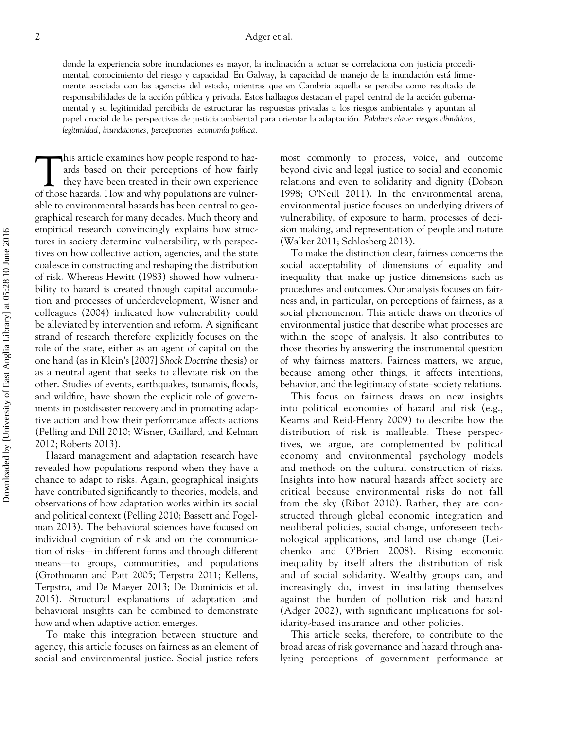donde la experiencia sobre inundaciones es mayor, la inclinación a actuar se correlaciona con justicia procedimental, conocimiento del riesgo y capacidad. En Galway, la capacidad de manejo de la inundacion esta firmemente asociada con las agencias del estado, mientras que en Cambria aquella se percibe como resultado de responsabilidades de la accion publica y privada. Estos hallazgos destacan el papel central de la accion gubernamental y su legitimidad percibida de estructurar las respuestas privadas a los riesgos ambientales y apuntan al papel crucial de las perspectivas de justicia ambiental para orientar la adaptación. Palabras clave: riesgos climáticos, legitimidad, inundaciones, percepciones, economía política.

This article examines how people respond to haz-<br>ards based on their perceptions of how fairly<br>they have been treated in their own experience<br>of those bazards. How and why populations are vulnerards based on their perceptions of how fairly they have been treated in their own experience of those hazards. How and why populations are vulnerable to environmental hazards has been central to geographical research for many decades. Much theory and empirical research convincingly explains how structures in society determine vulnerability, with perspectives on how collective action, agencies, and the state coalesce in constructing and reshaping the distribution of risk. Whereas Hewitt (1983) showed how vulnerability to hazard is created through capital accumulation and processes of underdevelopment, Wisner and colleagues (2004) indicated how vulnerability could be alleviated by intervention and reform. A significant strand of research therefore explicitly focuses on the role of the state, either as an agent of capital on the one hand (as in Klein's [2007] Shock Doctrine thesis) or as a neutral agent that seeks to alleviate risk on the other. Studies of events, earthquakes, tsunamis, floods, and wildfire, have shown the explicit role of governments in postdisaster recovery and in promoting adaptive action and how their performance affects actions (Pelling and Dill 2010; Wisner, Gaillard, and Kelman 2012; Roberts 2013).

Hazard management and adaptation research have revealed how populations respond when they have a chance to adapt to risks. Again, geographical insights have contributed significantly to theories, models, and observations of how adaptation works within its social and political context (Pelling 2010; Bassett and Fogelman 2013). The behavioral sciences have focused on individual cognition of risk and on the communication of risks—in different forms and through different means—to groups, communities, and populations (Grothmann and Patt 2005; Terpstra 2011; Kellens, Terpstra, and De Maeyer 2013; De Dominicis et al. 2015). Structural explanations of adaptation and behavioral insights can be combined to demonstrate how and when adaptive action emerges.

To make this integration between structure and agency, this article focuses on fairness as an element of social and environmental justice. Social justice refers

most commonly to process, voice, and outcome beyond civic and legal justice to social and economic relations and even to solidarity and dignity (Dobson 1998; O'Neill 2011). In the environmental arena, environmental justice focuses on underlying drivers of vulnerability, of exposure to harm, processes of decision making, and representation of people and nature (Walker 2011; Schlosberg 2013).

To make the distinction clear, fairness concerns the social acceptability of dimensions of equality and inequality that make up justice dimensions such as procedures and outcomes. Our analysis focuses on fairness and, in particular, on perceptions of fairness, as a social phenomenon. This article draws on theories of environmental justice that describe what processes are within the scope of analysis. It also contributes to those theories by answering the instrumental question of why fairness matters. Fairness matters, we argue, because among other things, it affects intentions, behavior, and the legitimacy of state–society relations.

This focus on fairness draws on new insights into political economies of hazard and risk (e.g., Kearns and Reid-Henry 2009) to describe how the distribution of risk is malleable. These perspectives, we argue, are complemented by political economy and environmental psychology models and methods on the cultural construction of risks. Insights into how natural hazards affect society are critical because environmental risks do not fall from the sky (Ribot 2010). Rather, they are constructed through global economic integration and neoliberal policies, social change, unforeseen technological applications, and land use change (Leichenko and O'Brien 2008). Rising economic inequality by itself alters the distribution of risk and of social solidarity. Wealthy groups can, and increasingly do, invest in insulating themselves against the burden of pollution risk and hazard (Adger 2002), with significant implications for solidarity-based insurance and other policies.

This article seeks, therefore, to contribute to the broad areas of risk governance and hazard through analyzing perceptions of government performance at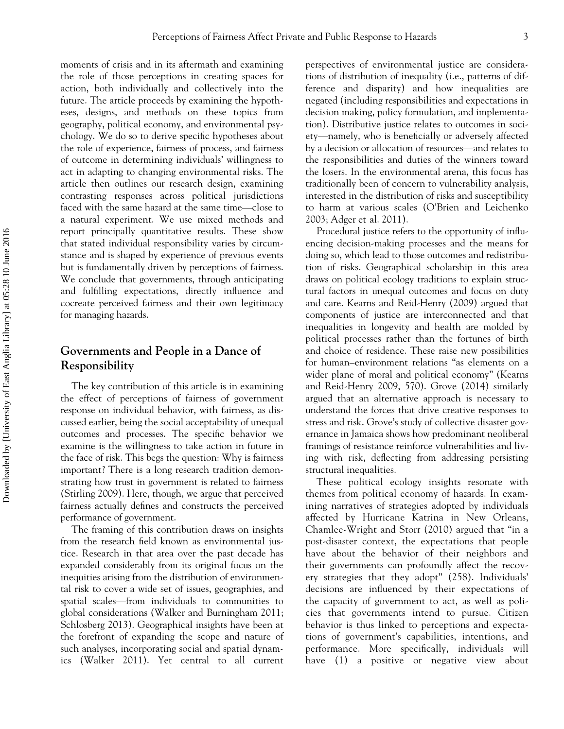moments of crisis and in its aftermath and examining the role of those perceptions in creating spaces for action, both individually and collectively into the future. The article proceeds by examining the hypotheses, designs, and methods on these topics from geography, political economy, and environmental psychology. We do so to derive specific hypotheses about the role of experience, fairness of process, and fairness of outcome in determining individuals' willingness to act in adapting to changing environmental risks. The article then outlines our research design, examining contrasting responses across political jurisdictions faced with the same hazard at the same time—close to a natural experiment. We use mixed methods and report principally quantitative results. These show that stated individual responsibility varies by circumstance and is shaped by experience of previous events but is fundamentally driven by perceptions of fairness. We conclude that governments, through anticipating and fulfilling expectations, directly influence and cocreate perceived fairness and their own legitimacy for managing hazards.

## Governments and People in a Dance of Responsibility

The key contribution of this article is in examining the effect of perceptions of fairness of government response on individual behavior, with fairness, as discussed earlier, being the social acceptability of unequal outcomes and processes. The specific behavior we examine is the willingness to take action in future in the face of risk. This begs the question: Why is fairness important? There is a long research tradition demonstrating how trust in government is related to fairness (Stirling 2009). Here, though, we argue that perceived fairness actually defines and constructs the perceived performance of government.

The framing of this contribution draws on insights from the research field known as environmental justice. Research in that area over the past decade has expanded considerably from its original focus on the inequities arising from the distribution of environmental risk to cover a wide set of issues, geographies, and spatial scales—from individuals to communities to global considerations (Walker and Burningham 2011; Schlosberg 2013). Geographical insights have been at the forefront of expanding the scope and nature of such analyses, incorporating social and spatial dynamics (Walker 2011). Yet central to all current

perspectives of environmental justice are considerations of distribution of inequality (i.e., patterns of difference and disparity) and how inequalities are negated (including responsibilities and expectations in decision making, policy formulation, and implementation). Distributive justice relates to outcomes in society—namely, who is beneficially or adversely affected by a decision or allocation of resources—and relates to the responsibilities and duties of the winners toward the losers. In the environmental arena, this focus has traditionally been of concern to vulnerability analysis, interested in the distribution of risks and susceptibility to harm at various scales (O'Brien and Leichenko 2003; Adger et al. 2011).

Procedural justice refers to the opportunity of influencing decision-making processes and the means for doing so, which lead to those outcomes and redistribution of risks. Geographical scholarship in this area draws on political ecology traditions to explain structural factors in unequal outcomes and focus on duty and care. Kearns and Reid-Henry (2009) argued that components of justice are interconnected and that inequalities in longevity and health are molded by political processes rather than the fortunes of birth and choice of residence. These raise new possibilities for human–environment relations "as elements on a wider plane of moral and political economy" (Kearns and Reid-Henry 2009, 570). Grove (2014) similarly argued that an alternative approach is necessary to understand the forces that drive creative responses to stress and risk. Grove's study of collective disaster governance in Jamaica shows how predominant neoliberal framings of resistance reinforce vulnerabilities and living with risk, deflecting from addressing persisting structural inequalities.

These political ecology insights resonate with themes from political economy of hazards. In examining narratives of strategies adopted by individuals affected by Hurricane Katrina in New Orleans, Chamlee-Wright and Storr (2010) argued that "in a post-disaster context, the expectations that people have about the behavior of their neighbors and their governments can profoundly affect the recovery strategies that they adopt" (258). Individuals' decisions are influenced by their expectations of the capacity of government to act, as well as policies that governments intend to pursue. Citizen behavior is thus linked to perceptions and expectations of government's capabilities, intentions, and performance. More specifically, individuals will have (1) a positive or negative view about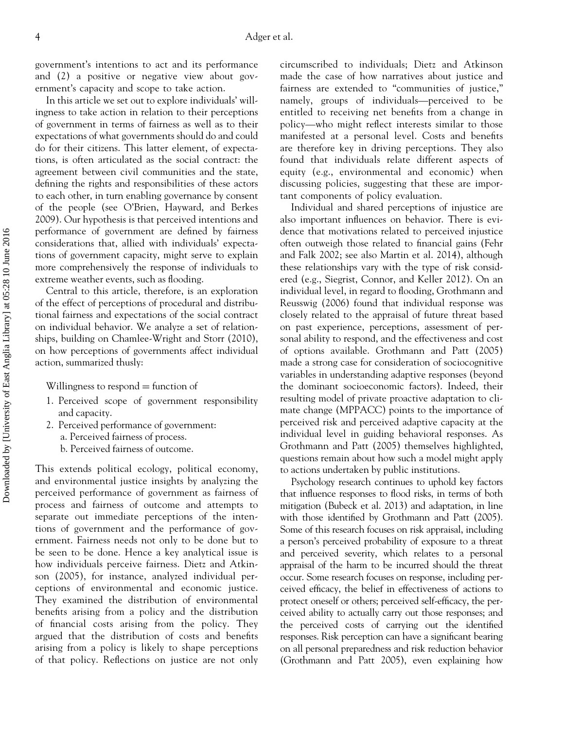government's intentions to act and its performance and (2) a positive or negative view about government's capacity and scope to take action.

In this article we set out to explore individuals' willingness to take action in relation to their perceptions of government in terms of fairness as well as to their expectations of what governments should do and could do for their citizens. This latter element, of expectations, is often articulated as the social contract: the agreement between civil communities and the state, defining the rights and responsibilities of these actors to each other, in turn enabling governance by consent of the people (see O'Brien, Hayward, and Berkes 2009). Our hypothesis is that perceived intentions and performance of government are defined by fairness considerations that, allied with individuals' expectations of government capacity, might serve to explain more comprehensively the response of individuals to extreme weather events, such as flooding.

Central to this article, therefore, is an exploration of the effect of perceptions of procedural and distributional fairness and expectations of the social contract on individual behavior. We analyze a set of relationships, building on Chamlee-Wright and Storr (2010), on how perceptions of governments affect individual action, summarized thusly:

Willingness to respond  $=$  function of

- 1. Perceived scope of government responsibility and capacity.
- 2. Perceived performance of government: a. Perceived fairness of process.
	- b. Perceived fairness of outcome.

This extends political ecology, political economy, and environmental justice insights by analyzing the perceived performance of government as fairness of process and fairness of outcome and attempts to separate out immediate perceptions of the intentions of government and the performance of government. Fairness needs not only to be done but to be seen to be done. Hence a key analytical issue is how individuals perceive fairness. Dietz and Atkinson (2005), for instance, analyzed individual perceptions of environmental and economic justice. They examined the distribution of environmental benefits arising from a policy and the distribution of financial costs arising from the policy. They argued that the distribution of costs and benefits arising from a policy is likely to shape perceptions of that policy. Reflections on justice are not only circumscribed to individuals; Dietz and Atkinson made the case of how narratives about justice and fairness are extended to "communities of justice," namely, groups of individuals—perceived to be entitled to receiving net benefits from a change in policy—who might reflect interests similar to those manifested at a personal level. Costs and benefits are therefore key in driving perceptions. They also found that individuals relate different aspects of equity (e.g., environmental and economic) when discussing policies, suggesting that these are important components of policy evaluation.

Individual and shared perceptions of injustice are also important influences on behavior. There is evidence that motivations related to perceived injustice often outweigh those related to financial gains (Fehr and Falk 2002; see also Martin et al. 2014), although these relationships vary with the type of risk considered (e.g., Siegrist, Connor, and Keller 2012). On an individual level, in regard to flooding, Grothmann and Reusswig (2006) found that individual response was closely related to the appraisal of future threat based on past experience, perceptions, assessment of personal ability to respond, and the effectiveness and cost of options available. Grothmann and Patt (2005) made a strong case for consideration of sociocognitive variables in understanding adaptive responses (beyond the dominant socioeconomic factors). Indeed, their resulting model of private proactive adaptation to climate change (MPPACC) points to the importance of perceived risk and perceived adaptive capacity at the individual level in guiding behavioral responses. As Grothmann and Patt (2005) themselves highlighted, questions remain about how such a model might apply to actions undertaken by public institutions.

Psychology research continues to uphold key factors that influence responses to flood risks, in terms of both mitigation (Bubeck et al. 2013) and adaptation, in line with those identified by Grothmann and Patt (2005). Some of this research focuses on risk appraisal, including a person's perceived probability of exposure to a threat and perceived severity, which relates to a personal appraisal of the harm to be incurred should the threat occur. Some research focuses on response, including perceived efficacy, the belief in effectiveness of actions to protect oneself or others; perceived self-efficacy, the perceived ability to actually carry out those responses; and the perceived costs of carrying out the identified responses. Risk perception can have a significant bearing on all personal preparedness and risk reduction behavior (Grothmann and Patt 2005), even explaining how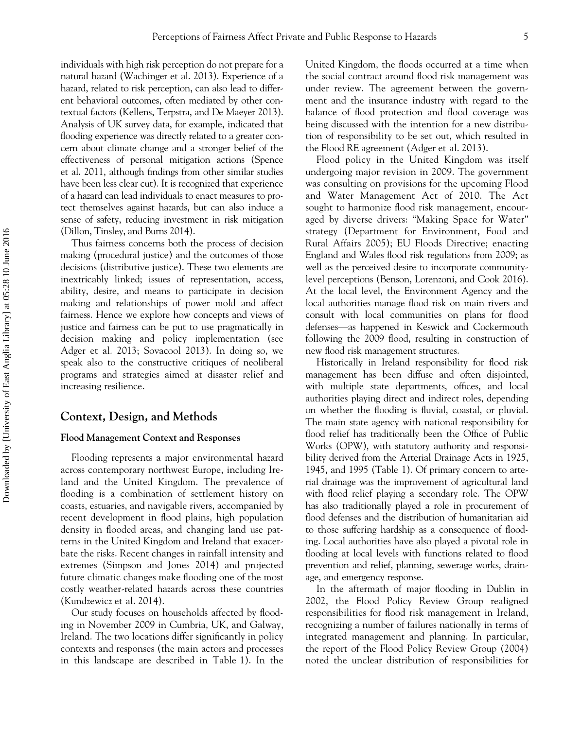individuals with high risk perception do not prepare for a natural hazard (Wachinger et al. 2013). Experience of a hazard, related to risk perception, can also lead to different behavioral outcomes, often mediated by other contextual factors (Kellens, Terpstra, and De Maeyer 2013). Analysis of UK survey data, for example, indicated that flooding experience was directly related to a greater concern about climate change and a stronger belief of the effectiveness of personal mitigation actions (Spence et al. 2011, although findings from other similar studies have been less clear cut). It is recognized that experience of a hazard can lead individuals to enact measures to protect themselves against hazards, but can also induce a sense of safety, reducing investment in risk mitigation (Dillon, Tinsley, and Burns 2014).

Thus fairness concerns both the process of decision making (procedural justice) and the outcomes of those decisions (distributive justice). These two elements are inextricably linked; issues of representation, access, ability, desire, and means to participate in decision making and relationships of power mold and affect fairness. Hence we explore how concepts and views of justice and fairness can be put to use pragmatically in decision making and policy implementation (see Adger et al. 2013; Sovacool 2013). In doing so, we speak also to the constructive critiques of neoliberal programs and strategies aimed at disaster relief and increasing resilience.

### Context, Design, and Methods

#### Flood Management Context and Responses

Flooding represents a major environmental hazard across contemporary northwest Europe, including Ireland and the United Kingdom. The prevalence of flooding is a combination of settlement history on coasts, estuaries, and navigable rivers, accompanied by recent development in flood plains, high population density in flooded areas, and changing land use patterns in the United Kingdom and Ireland that exacerbate the risks. Recent changes in rainfall intensity and extremes (Simpson and Jones 2014) and projected future climatic changes make flooding one of the most costly weather-related hazards across these countries (Kundzewicz et al. 2014).

Our study focuses on households affected by flooding in November 2009 in Cumbria, UK, and Galway, Ireland. The two locations differ significantly in policy contexts and responses (the main actors and processes in this landscape are described in Table 1). In the United Kingdom, the floods occurred at a time when the social contract around flood risk management was under review. The agreement between the government and the insurance industry with regard to the balance of flood protection and flood coverage was being discussed with the intention for a new distribution of responsibility to be set out, which resulted in the Flood RE agreement (Adger et al. 2013).

Flood policy in the United Kingdom was itself undergoing major revision in 2009. The government was consulting on provisions for the upcoming Flood and Water Management Act of 2010. The Act sought to harmonize flood risk management, encouraged by diverse drivers: "Making Space for Water" strategy (Department for Environment, Food and Rural Affairs 2005); EU Floods Directive; enacting England and Wales flood risk regulations from 2009; as well as the perceived desire to incorporate communitylevel perceptions (Benson, Lorenzoni, and Cook 2016). At the local level, the Environment Agency and the local authorities manage flood risk on main rivers and consult with local communities on plans for flood defenses—as happened in Keswick and Cockermouth following the 2009 flood, resulting in construction of new flood risk management structures.

Historically in Ireland responsibility for flood risk management has been diffuse and often disjointed, with multiple state departments, offices, and local authorities playing direct and indirect roles, depending on whether the flooding is fluvial, coastal, or pluvial. The main state agency with national responsibility for flood relief has traditionally been the Office of Public Works (OPW), with statutory authority and responsibility derived from the Arterial Drainage Acts in 1925, 1945, and 1995 (Table 1). Of primary concern to arterial drainage was the improvement of agricultural land with flood relief playing a secondary role. The OPW has also traditionally played a role in procurement of flood defenses and the distribution of humanitarian aid to those suffering hardship as a consequence of flooding. Local authorities have also played a pivotal role in flooding at local levels with functions related to flood prevention and relief, planning, sewerage works, drainage, and emergency response.

In the aftermath of major flooding in Dublin in 2002, the Flood Policy Review Group realigned responsibilities for flood risk management in Ireland, recognizing a number of failures nationally in terms of integrated management and planning. In particular, the report of the Flood Policy Review Group (2004) noted the unclear distribution of responsibilities for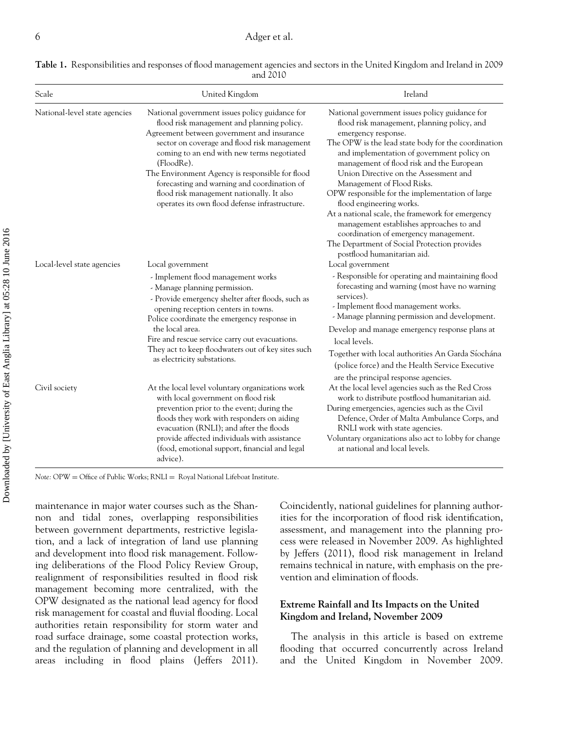Table 1. Responsibilities and responses of flood management agencies and sectors in the United Kingdom and Ireland in 2009 and 2010

| Scale                         | United Kingdom                                                                                                                                                                                                                                                                                                                                                                                                                                          | Ireland                                                                                                                                                                                                                                                                                                                                                                                                                                                                                                                                                                                                               |
|-------------------------------|---------------------------------------------------------------------------------------------------------------------------------------------------------------------------------------------------------------------------------------------------------------------------------------------------------------------------------------------------------------------------------------------------------------------------------------------------------|-----------------------------------------------------------------------------------------------------------------------------------------------------------------------------------------------------------------------------------------------------------------------------------------------------------------------------------------------------------------------------------------------------------------------------------------------------------------------------------------------------------------------------------------------------------------------------------------------------------------------|
| National-level state agencies | National government issues policy guidance for<br>flood risk management and planning policy.<br>Agreement between government and insurance<br>sector on coverage and flood risk management<br>coming to an end with new terms negotiated<br>(FloodRe).<br>The Environment Agency is responsible for flood<br>forecasting and warning and coordination of<br>flood risk management nationally. It also<br>operates its own flood defense infrastructure. | National government issues policy guidance for<br>flood risk management, planning policy, and<br>emergency response.<br>The OPW is the lead state body for the coordination<br>and implementation of government policy on<br>management of flood risk and the European<br>Union Directive on the Assessment and<br>Management of Flood Risks.<br>OPW responsible for the implementation of large<br>flood engineering works.<br>At a national scale, the framework for emergency<br>management establishes approaches to and<br>coordination of emergency management.<br>The Department of Social Protection provides |
| Local-level state agencies    | Local government<br>- Implement flood management works<br>- Manage planning permission.<br>- Provide emergency shelter after floods, such as<br>opening reception centers in towns.<br>Police coordinate the emergency response in<br>the local area.<br>Fire and rescue service carry out evacuations.<br>They act to keep floodwaters out of key sites such<br>as electricity substations.                                                            | postflood humanitarian aid.<br>Local government<br>- Responsible for operating and maintaining flood<br>forecasting and warning (most have no warning<br>services).<br>- Implement flood management works.<br>- Manage planning permission and development.<br>Develop and manage emergency response plans at<br>local levels.<br>Together with local authorities An Garda Síochána<br>(police force) and the Health Service Executive                                                                                                                                                                                |
| Civil society                 | At the local level voluntary organizations work<br>with local government on flood risk<br>prevention prior to the event; during the<br>floods they work with responders on aiding<br>evacuation (RNLI); and after the floods<br>provide affected individuals with assistance<br>(food, emotional support, financial and legal<br>advice).                                                                                                               | are the principal response agencies.<br>At the local level agencies such as the Red Cross<br>work to distribute postflood humanitarian aid.<br>During emergencies, agencies such as the Civil<br>Defence, Order of Malta Ambulance Corps, and<br>RNLI work with state agencies.<br>Voluntary organizations also act to lobby for change<br>at national and local levels.                                                                                                                                                                                                                                              |

 $Note: OPW = Office of Public Works; RNLI = Royal National Lifeboat Institute.$ 

maintenance in major water courses such as the Shannon and tidal zones, overlapping responsibilities between government departments, restrictive legislation, and a lack of integration of land use planning and development into flood risk management. Following deliberations of the Flood Policy Review Group, realignment of responsibilities resulted in flood risk management becoming more centralized, with the OPW designated as the national lead agency for flood risk management for coastal and fluvial flooding. Local authorities retain responsibility for storm water and road surface drainage, some coastal protection works, and the regulation of planning and development in all areas including in flood plains (Jeffers 2011).

Coincidently, national guidelines for planning authorities for the incorporation of flood risk identification, assessment, and management into the planning process were released in November 2009. As highlighted by Jeffers (2011), flood risk management in Ireland remains technical in nature, with emphasis on the prevention and elimination of floods.

#### Extreme Rainfall and Its Impacts on the United Kingdom and Ireland, November 2009

The analysis in this article is based on extreme flooding that occurred concurrently across Ireland and the United Kingdom in November 2009.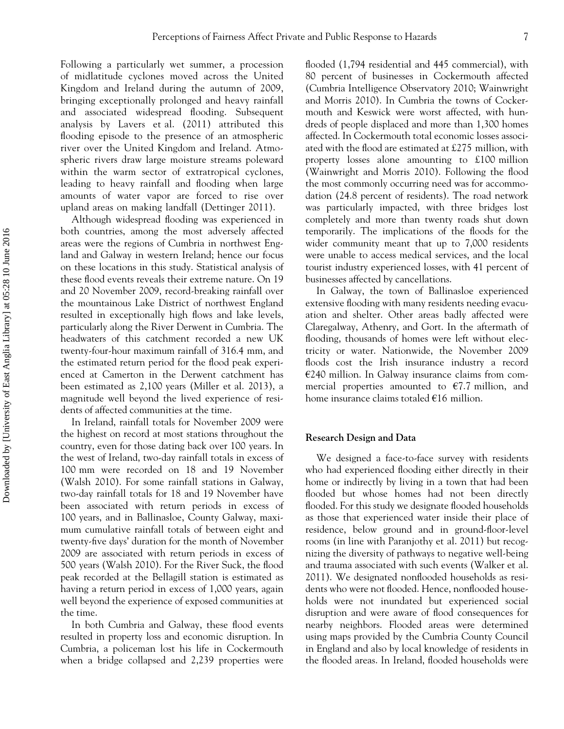Following a particularly wet summer, a procession of midlatitude cyclones moved across the United Kingdom and Ireland during the autumn of 2009, bringing exceptionally prolonged and heavy rainfall and associated widespread flooding. Subsequent analysis by Lavers et al. (2011) attributed this flooding episode to the presence of an atmospheric river over the United Kingdom and Ireland. Atmospheric rivers draw large moisture streams poleward within the warm sector of extratropical cyclones, leading to heavy rainfall and flooding when large amounts of water vapor are forced to rise over upland areas on making landfall (Dettinger 2011).

Although widespread flooding was experienced in both countries, among the most adversely affected areas were the regions of Cumbria in northwest England and Galway in western Ireland; hence our focus on these locations in this study. Statistical analysis of these flood events reveals their extreme nature. On 19 and 20 November 2009, record-breaking rainfall over the mountainous Lake District of northwest England resulted in exceptionally high flows and lake levels, particularly along the River Derwent in Cumbria. The headwaters of this catchment recorded a new UK twenty-four-hour maximum rainfall of 316.4 mm, and the estimated return period for the flood peak experienced at Camerton in the Derwent catchment has been estimated as 2,100 years (Miller et al. 2013), a magnitude well beyond the lived experience of residents of affected communities at the time.

In Ireland, rainfall totals for November 2009 were the highest on record at most stations throughout the country, even for those dating back over 100 years. In the west of Ireland, two-day rainfall totals in excess of 100 mm were recorded on 18 and 19 November (Walsh 2010). For some rainfall stations in Galway, two-day rainfall totals for 18 and 19 November have been associated with return periods in excess of 100 years, and in Ballinasloe, County Galway, maximum cumulative rainfall totals of between eight and twenty-five days' duration for the month of November 2009 are associated with return periods in excess of 500 years (Walsh 2010). For the River Suck, the flood peak recorded at the Bellagill station is estimated as having a return period in excess of 1,000 years, again well beyond the experience of exposed communities at the time.

In both Cumbria and Galway, these flood events resulted in property loss and economic disruption. In Cumbria, a policeman lost his life in Cockermouth when a bridge collapsed and 2,239 properties were flooded (1,794 residential and 445 commercial), with 80 percent of businesses in Cockermouth affected (Cumbria Intelligence Observatory 2010; Wainwright and Morris 2010). In Cumbria the towns of Cockermouth and Keswick were worst affected, with hundreds of people displaced and more than 1,300 homes affected. In Cockermouth total economic losses associated with the flood are estimated at £275 million, with property losses alone amounting to £100 million (Wainwright and Morris 2010). Following the flood the most commonly occurring need was for accommodation (24.8 percent of residents). The road network was particularly impacted, with three bridges lost completely and more than twenty roads shut down temporarily. The implications of the floods for the wider community meant that up to 7,000 residents were unable to access medical services, and the local tourist industry experienced losses, with 41 percent of businesses affected by cancellations.

In Galway, the town of Ballinasloe experienced extensive flooding with many residents needing evacuation and shelter. Other areas badly affected were Claregalway, Athenry, and Gort. In the aftermath of flooding, thousands of homes were left without electricity or water. Nationwide, the November 2009 floods cost the Irish insurance industry a record €240 million. In Galway insurance claims from commercial properties amounted to  $\epsilon$ 7.7 million, and home insurance claims totaled  $\epsilon$ 16 million.

#### Research Design and Data

We designed a face-to-face survey with residents who had experienced flooding either directly in their home or indirectly by living in a town that had been flooded but whose homes had not been directly flooded. For this study we designate flooded households as those that experienced water inside their place of residence, below ground and in ground-floor-level rooms (in line with Paranjothy et al. 2011) but recognizing the diversity of pathways to negative well-being and trauma associated with such events (Walker et al. 2011). We designated nonflooded households as residents who were not flooded. Hence, nonflooded households were not inundated but experienced social disruption and were aware of flood consequences for nearby neighbors. Flooded areas were determined using maps provided by the Cumbria County Council in England and also by local knowledge of residents in the flooded areas. In Ireland, flooded households were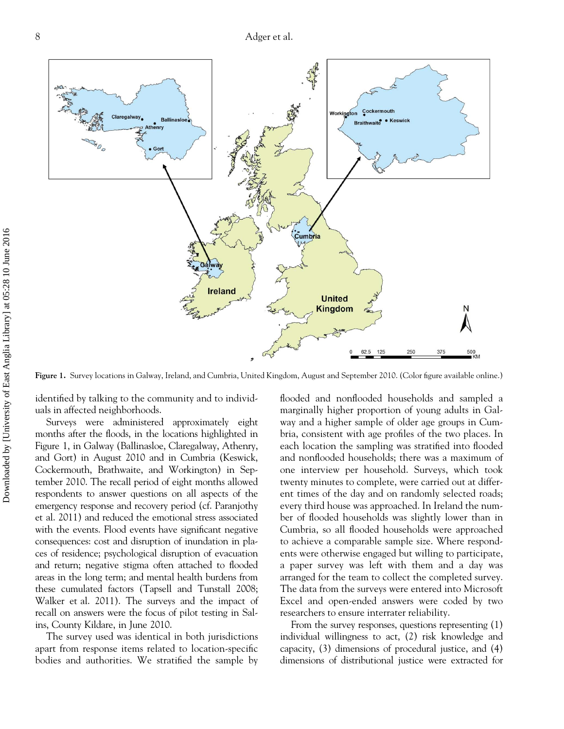

Figure 1. Survey locations in Galway, Ireland, and Cumbria, United Kingdom, August and September 2010. (Color figure available online.)

identified by talking to the community and to individuals in affected neighborhoods.

Surveys were administered approximately eight months after the floods, in the locations highlighted in Figure 1, in Galway (Ballinasloe, Claregalway, Athenry, and Gort) in August 2010 and in Cumbria (Keswick, Cockermouth, Brathwaite, and Workington) in September 2010. The recall period of eight months allowed respondents to answer questions on all aspects of the emergency response and recovery period (cf. Paranjothy et al. 2011) and reduced the emotional stress associated with the events. Flood events have significant negative consequences: cost and disruption of inundation in places of residence; psychological disruption of evacuation and return; negative stigma often attached to flooded areas in the long term; and mental health burdens from these cumulated factors (Tapsell and Tunstall 2008; Walker et al. 2011). The surveys and the impact of recall on answers were the focus of pilot testing in Salins, County Kildare, in June 2010.

The survey used was identical in both jurisdictions apart from response items related to location-specific bodies and authorities. We stratified the sample by flooded and nonflooded households and sampled a marginally higher proportion of young adults in Galway and a higher sample of older age groups in Cumbria, consistent with age profiles of the two places. In each location the sampling was stratified into flooded and nonflooded households; there was a maximum of one interview per household. Surveys, which took twenty minutes to complete, were carried out at different times of the day and on randomly selected roads; every third house was approached. In Ireland the number of flooded households was slightly lower than in Cumbria, so all flooded households were approached to achieve a comparable sample size. Where respondents were otherwise engaged but willing to participate, a paper survey was left with them and a day was arranged for the team to collect the completed survey. The data from the surveys were entered into Microsoft Excel and open-ended answers were coded by two researchers to ensure interrater reliability.

From the survey responses, questions representing (1) individual willingness to act, (2) risk knowledge and capacity, (3) dimensions of procedural justice, and (4) dimensions of distributional justice were extracted for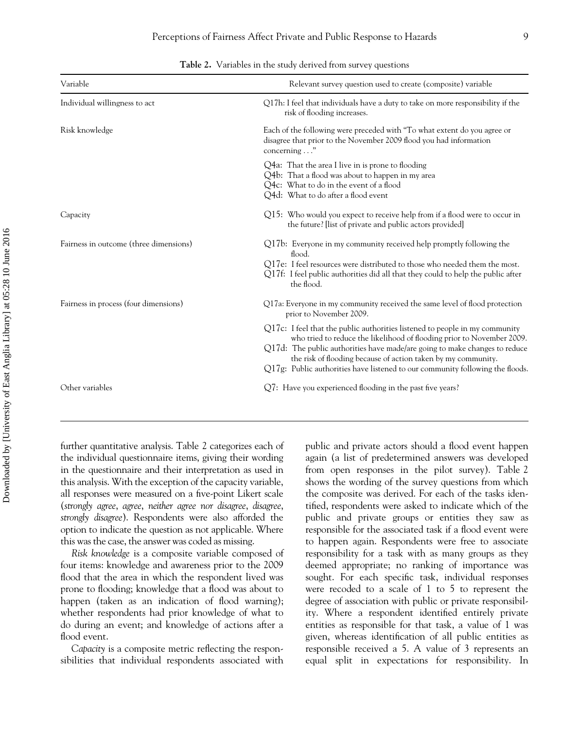| Variable                               | Relevant survey question used to create (composite) variable                                                                                                                                                                                                                                                                                                                          |
|----------------------------------------|---------------------------------------------------------------------------------------------------------------------------------------------------------------------------------------------------------------------------------------------------------------------------------------------------------------------------------------------------------------------------------------|
| Individual willingness to act          | Q17h: I feel that individuals have a duty to take on more responsibility if the<br>risk of flooding increases.                                                                                                                                                                                                                                                                        |
| Risk knowledge                         | Each of the following were preceded with "To what extent do you agree or<br>disagree that prior to the November 2009 flood you had information<br>concerning $\ldots$ "                                                                                                                                                                                                               |
|                                        | $Q4a$ : That the area I live in is prone to flooding<br>Q4b: That a flood was about to happen in my area<br>Q4c: What to do in the event of a flood<br>Q4d: What to do after a flood event                                                                                                                                                                                            |
| Capacity                               | Q15: Who would you expect to receive help from if a flood were to occur in<br>the future? [list of private and public actors provided]                                                                                                                                                                                                                                                |
| Fairness in outcome (three dimensions) | Q17b: Everyone in my community received help promptly following the<br>flood.<br>Q17e: I feel resources were distributed to those who needed them the most.<br>Q17f: I feel public authorities did all that they could to help the public after<br>the flood.                                                                                                                         |
| Fairness in process (four dimensions)  | Q17a: Everyone in my community received the same level of flood protection<br>prior to November 2009.                                                                                                                                                                                                                                                                                 |
|                                        | Q17c: I feel that the public authorities listened to people in my community<br>who tried to reduce the likelihood of flooding prior to November 2009.<br>Q17d: The public authorities have made/are going to make changes to reduce<br>the risk of flooding because of action taken by my community.<br>Q17g: Public authorities have listened to our community following the floods. |
| Other variables                        | Q7: Have you experienced flooding in the past five years?                                                                                                                                                                                                                                                                                                                             |

|  |  |  |  | Table 2. Variables in the study derived from survey questions |
|--|--|--|--|---------------------------------------------------------------|
|--|--|--|--|---------------------------------------------------------------|

further quantitative analysis. Table 2 categorizes each of the individual questionnaire items, giving their wording in the questionnaire and their interpretation as used in this analysis. With the exception of the capacity variable, all responses were measured on a five-point Likert scale (strongly agree, agree, neither agree nor disagree, disagree, strongly disagree). Respondents were also afforded the option to indicate the question as not applicable. Where this was the case, the answer was coded as missing.

Risk knowledge is a composite variable composed of four items: knowledge and awareness prior to the 2009 flood that the area in which the respondent lived was prone to flooding; knowledge that a flood was about to happen (taken as an indication of flood warning); whether respondents had prior knowledge of what to do during an event; and knowledge of actions after a flood event.

Capacity is a composite metric reflecting the responsibilities that individual respondents associated with public and private actors should a flood event happen again (a list of predetermined answers was developed from open responses in the pilot survey). Table 2 shows the wording of the survey questions from which the composite was derived. For each of the tasks identified, respondents were asked to indicate which of the public and private groups or entities they saw as responsible for the associated task if a flood event were to happen again. Respondents were free to associate responsibility for a task with as many groups as they deemed appropriate; no ranking of importance was sought. For each specific task, individual responses were recoded to a scale of 1 to 5 to represent the degree of association with public or private responsibility. Where a respondent identified entirely private entities as responsible for that task, a value of 1 was given, whereas identification of all public entities as responsible received a 5. A value of 3 represents an equal split in expectations for responsibility. In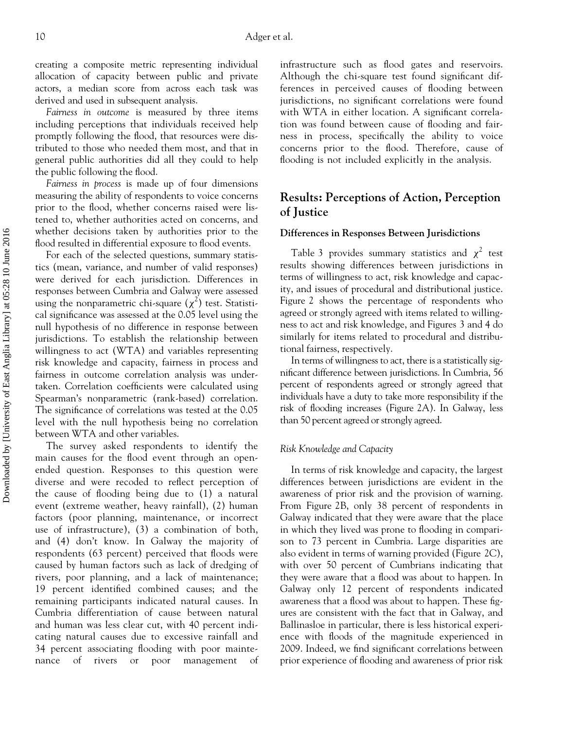creating a composite metric representing individual allocation of capacity between public and private actors, a median score from across each task was derived and used in subsequent analysis.

Fairness in outcome is measured by three items including perceptions that individuals received help promptly following the flood, that resources were distributed to those who needed them most, and that in general public authorities did all they could to help the public following the flood.

Fairness in process is made up of four dimensions measuring the ability of respondents to voice concerns prior to the flood, whether concerns raised were listened to, whether authorities acted on concerns, and whether decisions taken by authorities prior to the flood resulted in differential exposure to flood events.

For each of the selected questions, summary statistics (mean, variance, and number of valid responses) were derived for each jurisdiction. Differences in responses between Cumbria and Galway were assessed using the nonparametric chi-square  $(\chi^2)$  test. Statistical significance was assessed at the 0.05 level using the null hypothesis of no difference in response between jurisdictions. To establish the relationship between willingness to act (WTA) and variables representing risk knowledge and capacity, fairness in process and fairness in outcome correlation analysis was undertaken. Correlation coefficients were calculated using Spearman's nonparametric (rank-based) correlation. The significance of correlations was tested at the 0.05 level with the null hypothesis being no correlation between WTA and other variables.

The survey asked respondents to identify the main causes for the flood event through an openended question. Responses to this question were diverse and were recoded to reflect perception of the cause of flooding being due to (1) a natural event (extreme weather, heavy rainfall), (2) human factors (poor planning, maintenance, or incorrect use of infrastructure), (3) a combination of both, and (4) don't know. In Galway the majority of respondents (63 percent) perceived that floods were caused by human factors such as lack of dredging of rivers, poor planning, and a lack of maintenance; 19 percent identified combined causes; and the remaining participants indicated natural causes. In Cumbria differentiation of cause between natural and human was less clear cut, with 40 percent indicating natural causes due to excessive rainfall and 34 percent associating flooding with poor maintenance of rivers or poor management of infrastructure such as flood gates and reservoirs. Although the chi-square test found significant differences in perceived causes of flooding between jurisdictions, no significant correlations were found with WTA in either location. A significant correlation was found between cause of flooding and fairness in process, specifically the ability to voice concerns prior to the flood. Therefore, cause of flooding is not included explicitly in the analysis.

## Results: Perceptions of Action, Perception of Justice

#### Differences in Responses Between Jurisdictions

Table 3 provides summary statistics and  $\chi^2$  test results showing differences between jurisdictions in terms of willingness to act, risk knowledge and capacity, and issues of procedural and distributional justice. Figure 2 shows the percentage of respondents who agreed or strongly agreed with items related to willingness to act and risk knowledge, and Figures 3 and 4 do similarly for items related to procedural and distributional fairness, respectively.

In terms of willingness to act, there is a statistically significant difference between jurisdictions. In Cumbria, 56 percent of respondents agreed or strongly agreed that individuals have a duty to take more responsibility if the risk of flooding increases (Figure 2A). In Galway, less than 50 percent agreed or strongly agreed.

#### Risk Knowledge and Capacity

In terms of risk knowledge and capacity, the largest differences between jurisdictions are evident in the awareness of prior risk and the provision of warning. From Figure 2B, only 38 percent of respondents in Galway indicated that they were aware that the place in which they lived was prone to flooding in comparison to 73 percent in Cumbria. Large disparities are also evident in terms of warning provided (Figure 2C), with over 50 percent of Cumbrians indicating that they were aware that a flood was about to happen. In Galway only 12 percent of respondents indicated awareness that a flood was about to happen. These figures are consistent with the fact that in Galway, and Ballinasloe in particular, there is less historical experience with floods of the magnitude experienced in 2009. Indeed, we find significant correlations between prior experience of flooding and awareness of prior risk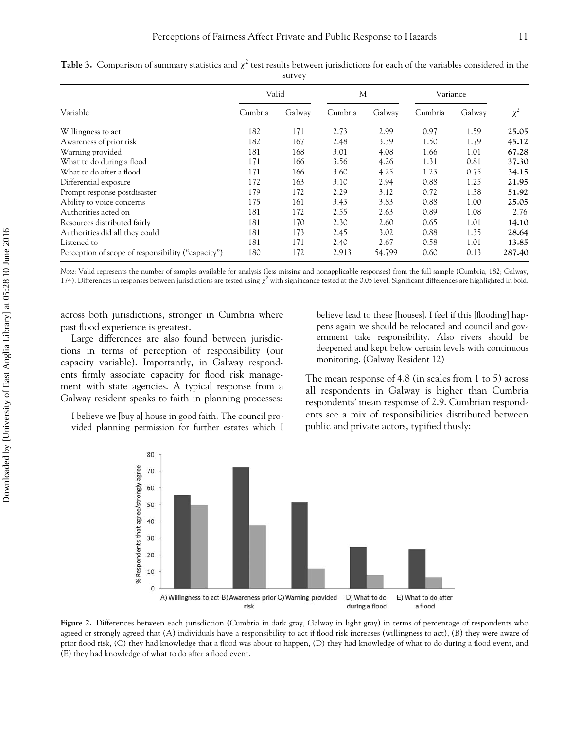|                                                    | Valid   |        | M       |        | Variance |        |          |
|----------------------------------------------------|---------|--------|---------|--------|----------|--------|----------|
| Variable                                           | Cumbria | Galway | Cumbria | Galway | Cumbria  | Galway | $\chi^2$ |
| Willingness to act                                 | 182     | 171    | 2.73    | 2.99   | 0.97     | 1.59   | 25.05    |
| Awareness of prior risk                            | 182     | 167    | 2.48    | 3.39   | 1.50     | 1.79   | 45.12    |
| Warning provided                                   | 181     | 168    | 3.01    | 4.08   | 1.66     | 1.01   | 67.28    |
| What to do during a flood                          | 171     | 166    | 3.56    | 4.26   | 1.31     | 0.81   | 37.30    |
| What to do after a flood                           | 171     | 166    | 3.60    | 4.25   | 1.23     | 0.75   | 34.15    |
| Differential exposure                              | 172     | 163    | 3.10    | 2.94   | 0.88     | 1.25   | 21.95    |
| Prompt response postdisaster                       | 179     | 172    | 2.29    | 3.12   | 0.72     | 1.38   | 51.92    |
| Ability to voice concerns                          | 175     | 161    | 3.43    | 3.83   | 0.88     | 1.00   | 25.05    |
| Authorities acted on                               | 181     | 172    | 2.55    | 2.63   | 0.89     | 1.08   | 2.76     |
| Resources distributed fairly                       | 181     | 170    | 2.30    | 2.60   | 0.65     | 1.01   | 14.10    |
| Authorities did all they could                     | 181     | 173    | 2.45    | 3.02   | 0.88     | 1.35   | 28.64    |
| Listened to                                        | 181     | 171    | 2.40    | 2.67   | 0.58     | 1.01   | 13.85    |
| Perception of scope of responsibility ("capacity") | 180     | 172    | 2.913   | 54.799 | 0.60     | 0.13   | 287.40   |

**Table 3.** Comparison of summary statistics and  $\chi^2$  test results between jurisdictions for each of the variables considered in the survey

Note: Valid represents the number of samples available for analysis (less missing and nonapplicable responses) from the full sample (Cumbria, 182; Galway, 174). Differences in responses between jurisdictions are tested using  $\chi^2$  with significance tested at the 0.05 level. Significant differences are highlighted in bold.

across both jurisdictions, stronger in Cumbria where past flood experience is greatest.

Large differences are also found between jurisdictions in terms of perception of responsibility (our capacity variable). Importantly, in Galway respondents firmly associate capacity for flood risk management with state agencies. A typical response from a Galway resident speaks to faith in planning processes:

I believe we [buy a] house in good faith. The council provided planning permission for further estates which I believe lead to these [houses]. I feel if this [flooding] happens again we should be relocated and council and government take responsibility. Also rivers should be deepened and kept below certain levels with continuous monitoring. (Galway Resident 12)

The mean response of 4.8 (in scales from 1 to 5) across all respondents in Galway is higher than Cumbria respondents' mean response of 2.9. Cumbrian respondents see a mix of responsibilities distributed between public and private actors, typified thusly:



Figure 2. Differences between each jurisdiction (Cumbria in dark gray, Galway in light gray) in terms of percentage of respondents who agreed or strongly agreed that (A) individuals have a responsibility to act if flood risk increases (willingness to act), (B) they were aware of prior flood risk, (C) they had knowledge that a flood was about to happen, (D) they had knowledge of what to do during a flood event, and (E) they had knowledge of what to do after a flood event.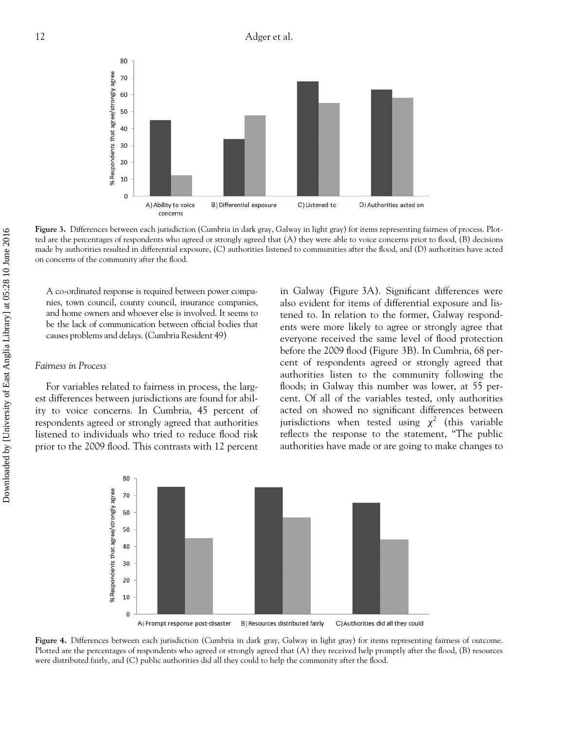

Figure 3. Differences between each jurisdiction (Cumbria in dark gray, Galway in light gray) for items representing fairness of process. Plotted are the percentages of respondents who agreed or strongly agreed that (A) they were able to voice concerns prior to flood, (B) decisions made by authorities resulted in differential exposure, (C) authorities listened to communities after the flood, and (D) authorities have acted on concerns of the community after the flood.

A co-ordinated response is required between power companies, town council, county council, insurance companies, and home owners and whoever else is involved. It seems to be the lack of communication between official bodies that causes problems and delays. (Cumbria Resident 49)

#### Fairness in Process

For variables related to fairness in process, the largest differences between jurisdictions are found for ability to voice concerns. In Cumbria, 45 percent of respondents agreed or strongly agreed that authorities listened to individuals who tried to reduce flood risk prior to the 2009 flood. This contrasts with 12 percent in Galway (Figure 3A). Significant differences were also evident for items of differential exposure and listened to. In relation to the former, Galway respondents were more likely to agree or strongly agree that everyone received the same level of flood protection before the 2009 flood (Figure 3B). In Cumbria, 68 percent of respondents agreed or strongly agreed that authorities listen to the community following the floods; in Galway this number was lower, at 55 percent. Of all of the variables tested, only authorities acted on showed no significant differences between jurisdictions when tested using  $\chi^2$  (this variable reflects the response to the statement, "The public authorities have made or are going to make changes to



Figure 4. Differences between each jurisdiction (Cumbria in dark gray, Galway in light gray) for items representing fairness of outcome. Plotted are the percentages of respondents who agreed or strongly agreed that (A) they received help promptly after the flood, (B) resources were distributed fairly, and (C) public authorities did all they could to help the community after the flood.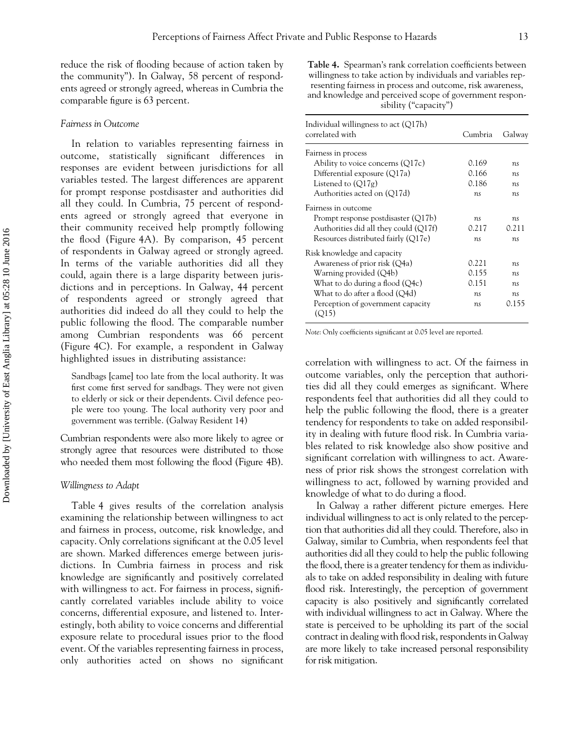reduce the risk of flooding because of action taken by the community"). In Galway, 58 percent of respondents agreed or strongly agreed, whereas in Cumbria the comparable figure is 63 percent.

#### Fairness in Outcome

In relation to variables representing fairness in outcome, statistically significant differences in responses are evident between jurisdictions for all variables tested. The largest differences are apparent for prompt response postdisaster and authorities did all they could. In Cumbria, 75 percent of respondents agreed or strongly agreed that everyone in their community received help promptly following the flood (Figure 4A). By comparison, 45 percent of respondents in Galway agreed or strongly agreed. In terms of the variable authorities did all they could, again there is a large disparity between jurisdictions and in perceptions. In Galway, 44 percent of respondents agreed or strongly agreed that authorities did indeed do all they could to help the public following the flood. The comparable number among Cumbrian respondents was 66 percent (Figure 4C). For example, a respondent in Galway highlighted issues in distributing assistance:

Sandbags [came] too late from the local authority. It was first come first served for sandbags. They were not given to elderly or sick or their dependents. Civil defence people were too young. The local authority very poor and government was terrible. (Galway Resident 14)

Cumbrian respondents were also more likely to agree or strongly agree that resources were distributed to those who needed them most following the flood (Figure 4B).

#### Willingness to Adapt

Table 4 gives results of the correlation analysis examining the relationship between willingness to act and fairness in process, outcome, risk knowledge, and capacity. Only correlations significant at the 0.05 level are shown. Marked differences emerge between jurisdictions. In Cumbria fairness in process and risk knowledge are significantly and positively correlated with willingness to act. For fairness in process, significantly correlated variables include ability to voice concerns, differential exposure, and listened to. Interestingly, both ability to voice concerns and differential exposure relate to procedural issues prior to the flood event. Of the variables representing fairness in process, only authorities acted on shows no significant Table 4. Spearman's rank correlation coefficients between willingness to take action by individuals and variables representing fairness in process and outcome, risk awareness, and knowledge and perceived scope of government responsibility ("capacity")

| Individual willingness to act $(Q17h)$     |         |                |
|--------------------------------------------|---------|----------------|
| correlated with                            | Cumbria | Galway         |
| Fairness in process                        |         |                |
| Ability to voice concerns (Q17c)           | 0.169   | ns             |
| Differential exposure $(Q17a)$             | 0.166   | n <sub>s</sub> |
| Listened to $(Q17g)$                       | 0.186   | ns             |
| Authorities acted on (Q17d)                | ns      | ns             |
| Fairness in outcome                        |         |                |
| Prompt response postdisaster (Q17b)        | ns      | ns             |
| Authorities did all they could $(Q17f)$    | 0.217   | 0.211          |
| Resources distributed fairly $(Q17e)$      | ns      | ns             |
| Risk knowledge and capacity                |         |                |
| Awareness of prior risk (Q4a)              | 0.221   | ns             |
| Warning provided (Q4b)                     | 0.155   | n <sub>s</sub> |
| What to do during a flood $(Q4c)$          | 0.151   | ns             |
| What to do after a flood (Q4d)             | ns      | ns             |
| Perception of government capacity<br>(O15) | ns      | 0.155          |

Note: Only coefficients significant at 0.05 level are reported.

correlation with willingness to act. Of the fairness in outcome variables, only the perception that authorities did all they could emerges as significant. Where respondents feel that authorities did all they could to help the public following the flood, there is a greater tendency for respondents to take on added responsibility in dealing with future flood risk. In Cumbria variables related to risk knowledge also show positive and significant correlation with willingness to act. Awareness of prior risk shows the strongest correlation with willingness to act, followed by warning provided and knowledge of what to do during a flood.

In Galway a rather different picture emerges. Here individual willingness to act is only related to the perception that authorities did all they could. Therefore, also in Galway, similar to Cumbria, when respondents feel that authorities did all they could to help the public following the flood, there is a greater tendency for them as individuals to take on added responsibility in dealing with future flood risk. Interestingly, the perception of government capacity is also positively and significantly correlated with individual willingness to act in Galway. Where the state is perceived to be upholding its part of the social contract in dealing with flood risk, respondents in Galway are more likely to take increased personal responsibility for risk mitigation.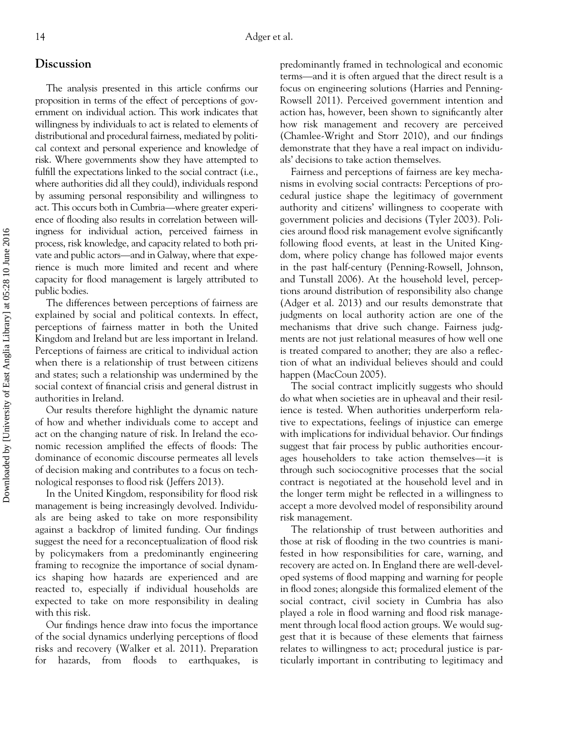#### Discussion

The analysis presented in this article confirms our proposition in terms of the effect of perceptions of government on individual action. This work indicates that willingness by individuals to act is related to elements of distributional and procedural fairness, mediated by political context and personal experience and knowledge of risk. Where governments show they have attempted to fulfill the expectations linked to the social contract (i.e., where authorities did all they could), individuals respond by assuming personal responsibility and willingness to act. This occurs both in Cumbria—where greater experience of flooding also results in correlation between willingness for individual action, perceived fairness in process, risk knowledge, and capacity related to both private and public actors—and in Galway, where that experience is much more limited and recent and where capacity for flood management is largely attributed to public bodies.

The differences between perceptions of fairness are explained by social and political contexts. In effect, perceptions of fairness matter in both the United Kingdom and Ireland but are less important in Ireland. Perceptions of fairness are critical to individual action when there is a relationship of trust between citizens and states; such a relationship was undermined by the social context of financial crisis and general distrust in authorities in Ireland.

Our results therefore highlight the dynamic nature of how and whether individuals come to accept and act on the changing nature of risk. In Ireland the economic recession amplified the effects of floods: The dominance of economic discourse permeates all levels of decision making and contributes to a focus on technological responses to flood risk (Jeffers 2013).

In the United Kingdom, responsibility for flood risk management is being increasingly devolved. Individuals are being asked to take on more responsibility against a backdrop of limited funding. Our findings suggest the need for a reconceptualization of flood risk by policymakers from a predominantly engineering framing to recognize the importance of social dynamics shaping how hazards are experienced and are reacted to, especially if individual households are expected to take on more responsibility in dealing with this risk.

Our findings hence draw into focus the importance of the social dynamics underlying perceptions of flood risks and recovery (Walker et al. 2011). Preparation for hazards, from floods to earthquakes, is predominantly framed in technological and economic terms—and it is often argued that the direct result is a focus on engineering solutions (Harries and Penning-Rowsell 2011). Perceived government intention and action has, however, been shown to significantly alter how risk management and recovery are perceived (Chamlee-Wright and Storr 2010), and our findings demonstrate that they have a real impact on individuals' decisions to take action themselves.

Fairness and perceptions of fairness are key mechanisms in evolving social contracts: Perceptions of procedural justice shape the legitimacy of government authority and citizens' willingness to cooperate with government policies and decisions (Tyler 2003). Policies around flood risk management evolve significantly following flood events, at least in the United Kingdom, where policy change has followed major events in the past half-century (Penning-Rowsell, Johnson, and Tunstall 2006). At the household level, perceptions around distribution of responsibility also change (Adger et al. 2013) and our results demonstrate that judgments on local authority action are one of the mechanisms that drive such change. Fairness judgments are not just relational measures of how well one is treated compared to another; they are also a reflection of what an individual believes should and could happen (MacCoun 2005).

The social contract implicitly suggests who should do what when societies are in upheaval and their resilience is tested. When authorities underperform relative to expectations, feelings of injustice can emerge with implications for individual behavior. Our findings suggest that fair process by public authorities encourages householders to take action themselves—it is through such sociocognitive processes that the social contract is negotiated at the household level and in the longer term might be reflected in a willingness to accept a more devolved model of responsibility around risk management.

The relationship of trust between authorities and those at risk of flooding in the two countries is manifested in how responsibilities for care, warning, and recovery are acted on. In England there are well-developed systems of flood mapping and warning for people in flood zones; alongside this formalized element of the social contract, civil society in Cumbria has also played a role in flood warning and flood risk management through local flood action groups. We would suggest that it is because of these elements that fairness relates to willingness to act; procedural justice is particularly important in contributing to legitimacy and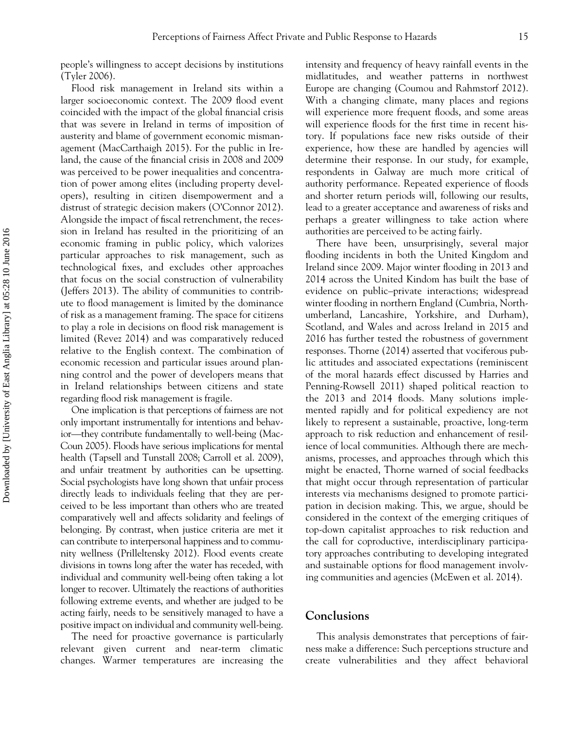people's willingness to accept decisions by institutions (Tyler 2006).

Flood risk management in Ireland sits within a larger socioeconomic context. The 2009 flood event coincided with the impact of the global financial crisis that was severe in Ireland in terms of imposition of austerity and blame of government economic mismanagement (MacCarthaigh 2015). For the public in Ireland, the cause of the financial crisis in 2008 and 2009 was perceived to be power inequalities and concentration of power among elites (including property developers), resulting in citizen disempowerment and a distrust of strategic decision makers (O'Connor 2012). Alongside the impact of fiscal retrenchment, the recession in Ireland has resulted in the prioritizing of an economic framing in public policy, which valorizes particular approaches to risk management, such as technological fixes, and excludes other approaches that focus on the social construction of vulnerability (Jeffers 2013). The ability of communities to contribute to flood management is limited by the dominance of risk as a management framing. The space for citizens to play a role in decisions on flood risk management is limited (Revez 2014) and was comparatively reduced relative to the English context. The combination of economic recession and particular issues around planning control and the power of developers means that in Ireland relationships between citizens and state regarding flood risk management is fragile.

One implication is that perceptions of fairness are not only important instrumentally for intentions and behavior—they contribute fundamentally to well-being (Mac-Coun 2005). Floods have serious implications for mental health (Tapsell and Tunstall 2008; Carroll et al. 2009), and unfair treatment by authorities can be upsetting. Social psychologists have long shown that unfair process directly leads to individuals feeling that they are perceived to be less important than others who are treated comparatively well and affects solidarity and feelings of belonging. By contrast, when justice criteria are met it can contribute to interpersonal happiness and to community wellness (Prilleltensky 2012). Flood events create divisions in towns long after the water has receded, with individual and community well-being often taking a lot longer to recover. Ultimately the reactions of authorities following extreme events, and whether are judged to be acting fairly, needs to be sensitively managed to have a positive impact on individual and community well-being.

The need for proactive governance is particularly relevant given current and near-term climatic changes. Warmer temperatures are increasing the

intensity and frequency of heavy rainfall events in the midlatitudes, and weather patterns in northwest Europe are changing (Coumou and Rahmstorf 2012). With a changing climate, many places and regions will experience more frequent floods, and some areas will experience floods for the first time in recent history. If populations face new risks outside of their experience, how these are handled by agencies will determine their response. In our study, for example, respondents in Galway are much more critical of authority performance. Repeated experience of floods and shorter return periods will, following our results, lead to a greater acceptance and awareness of risks and perhaps a greater willingness to take action where authorities are perceived to be acting fairly.

There have been, unsurprisingly, several major flooding incidents in both the United Kingdom and Ireland since 2009. Major winter flooding in 2013 and 2014 across the United Kindom has built the base of evidence on public–private interactions; widespread winter flooding in northern England (Cumbria, Northumberland, Lancashire, Yorkshire, and Durham), Scotland, and Wales and across Ireland in 2015 and 2016 has further tested the robustness of government responses. Thorne (2014) asserted that vociferous public attitudes and associated expectations (reminiscent of the moral hazards effect discussed by Harries and Penning-Rowsell 2011) shaped political reaction to the 2013 and 2014 floods. Many solutions implemented rapidly and for political expediency are not likely to represent a sustainable, proactive, long-term approach to risk reduction and enhancement of resilience of local communities. Although there are mechanisms, processes, and approaches through which this might be enacted, Thorne warned of social feedbacks that might occur through representation of particular interests via mechanisms designed to promote participation in decision making. This, we argue, should be considered in the context of the emerging critiques of top-down capitalist approaches to risk reduction and the call for coproductive, interdisciplinary participatory approaches contributing to developing integrated and sustainable options for flood management involving communities and agencies (McEwen et al. 2014).

#### Conclusions

This analysis demonstrates that perceptions of fairness make a difference: Such perceptions structure and create vulnerabilities and they affect behavioral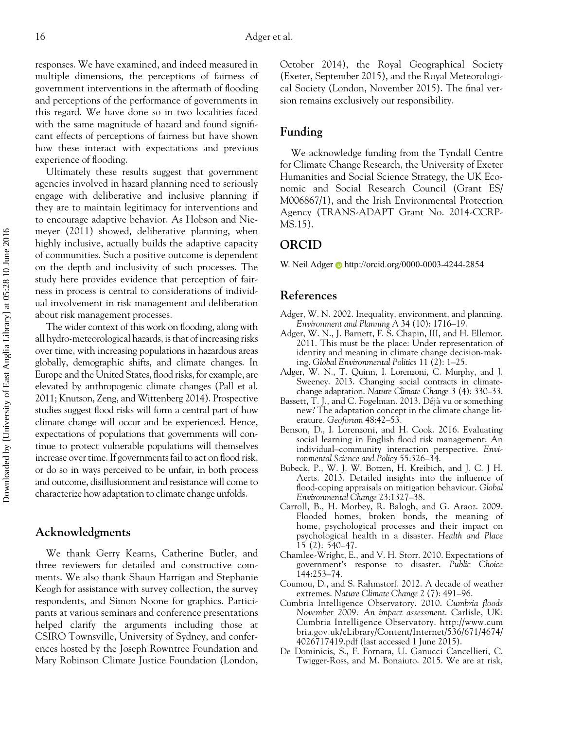responses. We have examined, and indeed measured in multiple dimensions, the perceptions of fairness of government interventions in the aftermath of flooding and perceptions of the performance of governments in this regard. We have done so in two localities faced with the same magnitude of hazard and found significant effects of perceptions of fairness but have shown how these interact with expectations and previous experience of flooding.

Ultimately these results suggest that government agencies involved in hazard planning need to seriously engage with deliberative and inclusive planning if they are to maintain legitimacy for interventions and to encourage adaptive behavior. As Hobson and Niemeyer (2011) showed, deliberative planning, when highly inclusive, actually builds the adaptive capacity of communities. Such a positive outcome is dependent on the depth and inclusivity of such processes. The study here provides evidence that perception of fairness in process is central to considerations of individual involvement in risk management and deliberation about risk management processes.

The wider context of this work on flooding, along with all hydro-meteorological hazards, is that of increasing risks over time, with increasing populations in hazardous areas globally, demographic shifts, and climate changes. In Europe and the United States, flood risks, for example, are elevated by anthropogenic climate changes (Pall et al. 2011; Knutson, Zeng, and Wittenberg 2014). Prospective studies suggest flood risks will form a central part of how climate change will occur and be experienced. Hence, expectations of populations that governments will continue to protect vulnerable populations will themselves increase over time. If governments fail to act on flood risk, or do so in ways perceived to be unfair, in both process and outcome, disillusionment and resistance will come to characterize how adaptation to climate change unfolds.

#### Acknowledgments

We thank Gerry Kearns, Catherine Butler, and three reviewers for detailed and constructive comments. We also thank Shaun Harrigan and Stephanie Keogh for assistance with survey collection, the survey respondents, and Simon Noone for graphics. Participants at various seminars and conference presentations helped clarify the arguments including those at CSIRO Townsville, University of Sydney, and conferences hosted by the Joseph Rowntree Foundation and Mary Robinson Climate Justice Foundation (London, October 2014), the Royal Geographical Society (Exeter, September 2015), and the Royal Meteorological Society (London, November 2015). The final version remains exclusively our responsibility.

### Funding

We acknowledge funding from the Tyndall Centre for Climate Change Research, the University of Exeter Humanities and Social Science Strategy, the UK Economic and Social Research Council (Grant ES/ M006867/1), and the Irish Environmental Protection Agency (TRANS-ADAPT Grant No. 2014-CCRP-MS.15).

#### ORCID

W. Neil Adger • http://orcid.org/0000-0003-4244-2854

#### References

- Adger, W. N. 2002. Inequality, environment, and planning. Environment and Planning A 34 (10): 1716–19.
- Adger, W. N., J. Barnett, F. S. Chapin, III, and H. Ellemor. 2011. This must be the place: Under representation of identity and meaning in climate change decision-making. Global Environmental Politics 11 (2): 1–25.
- Adger, W. N., T. Quinn, I. Lorenzoni, C. Murphy, and J. Sweeney. 2013. Changing social contracts in climatechange adaptation. Nature Climate Change 3 (4): 330–33.
- Bassett, T. J., and C. Fogelman. 2013. Déjà vu or something new? The adaptation concept in the climate change literature. Geoforum 48:42–53.
- Benson, D., I. Lorenzoni, and H. Cook. 2016. Evaluating social learning in English flood risk management: An individual–community interaction perspective. Environmental Science and Policy 55:326–34.
- Bubeck, P., W. J. W. Botzen, H. Kreibich, and J. C. J H. Aerts. 2013. Detailed insights into the influence of flood-coping appraisals on mitigation behaviour. Global Environmental Change 23:1327–38.
- Carroll, B., H. Morbey, R. Balogh, and G. Araoz. 2009. Flooded homes, broken bonds, the meaning of home, psychological processes and their impact on psychological health in a disaster. Health and Place 15 (2): 540–47.
- Chamlee-Wright, E., and V. H. Storr. 2010. Expectations of government's response to disaster. Public Choice 144:253–74.
- Coumou, D., and S. Rahmstorf. 2012. A decade of weather extremes. Nature Climate Change 2 (7): 491–96.
- Cumbria Intelligence Observatory. 2010. Cumbria floods November 2009: An impact assessment. Carlisle, UK: Cumbria Intelligence Observatory. [http://www.cum](http://www.cumbria.gov.uk/eLibrary/Content/Internet/536/671/4674/4026717419.pdf) [bria.gov.uk/eLibrary/Content/Internet/536/671/4674/](http://www.cumbria.gov.uk/eLibrary/Content/Internet/536/671/4674/4026717419.pdf) [4026717419.pdf](http://www.cumbria.gov.uk/eLibrary/Content/Internet/536/671/4674/4026717419.pdf) (last accessed 1 June 2015).
- De Dominicis, S., F. Fornara, U. Ganucci Cancellieri, C. Twigger-Ross, and M. Bonaiuto. 2015. We are at risk,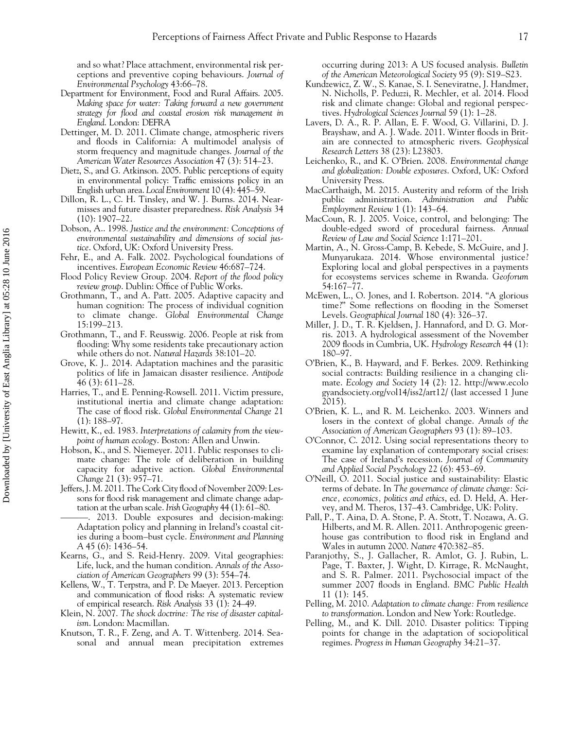and so what? Place attachment, environmental risk perceptions and preventive coping behaviours. Journal of Environmental Psychology 43:66–78.

- Department for Environment, Food and Rural Affairs. 2005. Making space for water: Taking forward a new government strategy for flood and coastal erosion risk management in England. London: DEFRA
- Dettinger, M. D. 2011. Climate change, atmospheric rivers and floods in California: A multimodel analysis of storm frequency and magnitude changes. Journal of the American Water Resources Association 47 (3): 514–23.
- Dietz, S., and G. Atkinson. 2005. Public perceptions of equity in environmental policy: Traffic emissions policy in an English urban area. Local Environment 10 (4): 445–59.
- Dillon, R. L., C. H. Tinsley, and W. J. Burns. 2014. Nearmisses and future disaster preparedness. Risk Analysis 34 (10): 1907–22.
- Dobson, A.. 1998. Justice and the environment: Conceptions of environmental sustainability and dimensions of social justice. Oxford, UK: Oxford University Press.
- Fehr, E., and A. Falk. 2002. Psychological foundations of incentives. European Economic Review 46:687–724.
- Flood Policy Review Group. 2004. Report of the flood policy review group. Dublin: Office of Public Works.
- Grothmann, T., and A. Patt. 2005. Adaptive capacity and human cognition: The process of individual cognition to climate change. Global Environmental Change 15:199–213.
- Grothmann, T., and F. Reusswig. 2006. People at risk from flooding: Why some residents take precautionary action while others do not. Natural Hazards 38:101–20.
- Grove, K. J.. 2014. Adaptation machines and the parasitic politics of life in Jamaican disaster resilience. Antipode 46 (3): 611–28.
- Harries, T., and E. Penning-Rowsell. 2011. Victim pressure, institutional inertia and climate change adaptation: The case of flood risk. Global Environmental Change 21 (1): 188–97.
- Hewitt, K., ed. 1983. Interpretations of calamity from the viewpoint of human ecology. Boston: Allen and Unwin.
- Hobson, K., and S. Niemeyer. 2011. Public responses to climate change: The role of deliberation in building capacity for adaptive action. Global Environmental Change 21 (3): 957–71.
- Jeffers, J. M. 2011. The Cork City flood of November 2009: Lessons for flood risk management and climate change adaptation at the urban scale. Irish Geography 44 (1): 61–80.
- ———. 2013. Double exposures and decision-making: Adaptation policy and planning in Ireland's coastal cities during a boom–bust cycle. Environment and Planning A 45 (6): 1436–54.
- Kearns, G., and S. Reid-Henry. 2009. Vital geographies: Life, luck, and the human condition. Annals of the Association of American Geographers 99 (3): 554–74.
- Kellens, W., T. Terpstra, and P. De Maeyer. 2013. Perception and communication of flood risks: A systematic review of empirical research. Risk Analysis 33 (1): 24–49.
- Klein, N. 2007. The shock doctrine: The rise of disaster capitalism. London: Macmillan.
- Knutson, T. R., F. Zeng, and A. T. Wittenberg. 2014. Seasonal and annual mean precipitation extremes

occurring during 2013: A US focused analysis. Bulletin of the American Meteorological Society 95 (9): S19–S23.

- Kundzewicz, Z. W., S. Kanae, S. I. Seneviratne, J. Handmer, N. Nicholls, P. Peduzzi, R. Mechler, et al. 2014. Flood risk and climate change: Global and regional perspectives. Hydrological Sciences Journal 59 (1): 1–28.
- Lavers, D. A., R. P. Allan, E. F. Wood, G. Villarini, D. J. Brayshaw, and A. J. Wade. 2011. Winter floods in Britain are connected to atmospheric rivers. Geophysical Research Letters 38 (23): L23803.
- Leichenko, R., and K. O'Brien. 2008. Environmental change and globalization: Double exposures. Oxford, UK: Oxford University Press.
- MacCarthaigh, M. 2015. Austerity and reform of the Irish public administration. Administration and Public Employment Review 1 (1): 143–64.
- MacCoun, R. J. 2005. Voice, control, and belonging: The double-edged sword of procedural fairness. Annual Review of Law and Social Science 1:171–201.
- Martin, A., N. Gross-Camp, B. Kebede, S. McGuire, and J. Munyarukaza. 2014. Whose environmental justice? Exploring local and global perspectives in a payments for ecosystems services scheme in Rwanda. Geoforum 54:167–77.
- McEwen, L., O. Jones, and I. Robertson. 2014. "A glorious time?" Some reflections on flooding in the Somerset Levels. Geographical Journal 180 (4): 326–37.
- Miller, J. D., T. R. Kjeldsen, J. Hannaford, and D. G. Morris. 2013. A hydrological assessment of the November 2009 floods in Cumbria, UK. Hydrology Research 44 (1): 180–97.
- O'Brien, K., B. Hayward, and F. Berkes. 2009. Rethinking social contracts: Building resilience in a changing climate. Ecology and Society 14 (2): 12. [http://www.ecolo](http://www.ecologyandsociety.org/vol14/iss2/art12/) [gyandsociety.org/vol14/iss2/art12/](http://www.ecologyandsociety.org/vol14/iss2/art12/) (last accessed 1 June 2015).
- O'Brien, K. L., and R. M. Leichenko. 2003. Winners and losers in the context of global change. Annals of the Association of American Geographers 93 (1): 89–103.
- O'Connor, C. 2012. Using social representations theory to examine lay explanation of contemporary social crises: The case of Ireland's recession. Journal of Community and Applied Social Psychology 22 (6): 453–69.
- O'Neill, O. 2011. Social justice and sustainability: Elastic terms of debate. In The governance of climate change: Science, economics, politics and ethics, ed. D. Held, A. Hervey, and M. Theros, 137–43. Cambridge, UK: Polity.
- Pall, P., T. Aina, D. A. Stone, P. A. Stott, T. Nozawa, A. G. Hilberts, and M. R. Allen. 2011. Anthropogenic greenhouse gas contribution to flood risk in England and Wales in autumn 2000. Nature 470:382–85.
- Paranjothy, S., J. Gallacher, R. Amlot, G. J. Rubin, L. Page, T. Baxter, J. Wight, D. Kirrage, R. McNaught, and S. R. Palmer. 2011. Psychosocial impact of the summer 2007 floods in England. BMC Public Health 11 (1): 145.
- Pelling, M. 2010. Adaptation to climate change: From resilience to transformation. London and New York: Routledge.
- Pelling, M., and K. Dill. 2010. Disaster politics: Tipping points for change in the adaptation of sociopolitical regimes. Progress in Human Geography 34:21–37.